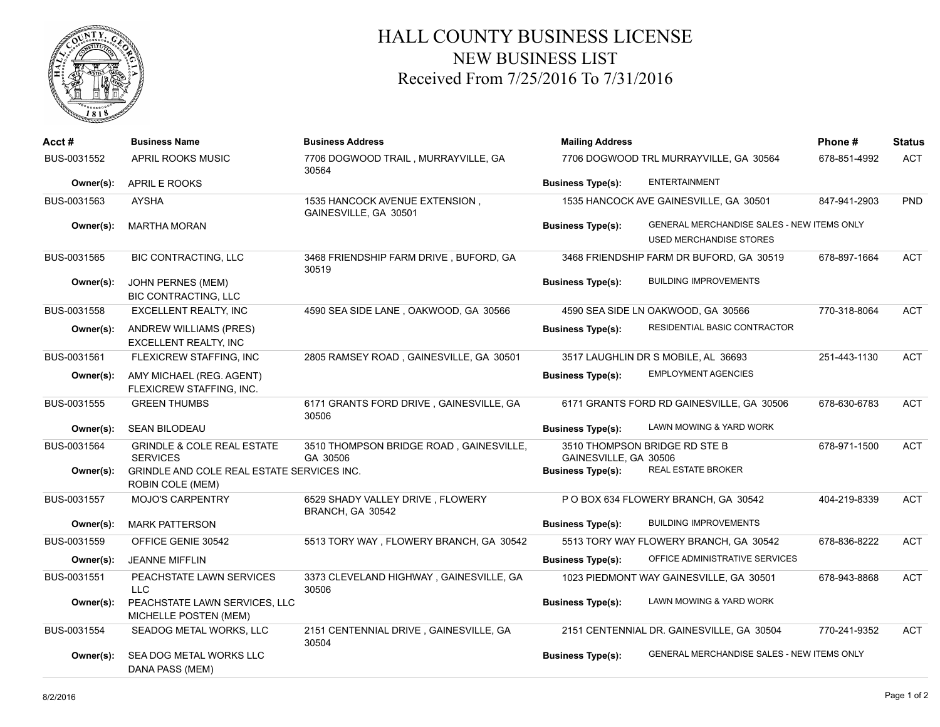

## HALL COUNTY BUSINESS LICENSE NEW BUSINESS LIST Received From 7/25/2016 To 7/31/2016

| Acct #      | <b>Business Name</b>                                           | <b>Business Address</b>                                 | <b>Mailing Address</b>   |                                                                              | Phone#       | <b>Status</b> |
|-------------|----------------------------------------------------------------|---------------------------------------------------------|--------------------------|------------------------------------------------------------------------------|--------------|---------------|
| BUS-0031552 | APRIL ROOKS MUSIC                                              | 7706 DOGWOOD TRAIL, MURRAYVILLE, GA<br>30564            |                          | 7706 DOGWOOD TRL MURRAYVILLE, GA 30564                                       | 678-851-4992 | <b>ACT</b>    |
| Owner(s):   | APRIL E ROOKS                                                  |                                                         | <b>Business Type(s):</b> | <b>ENTERTAINMENT</b>                                                         |              |               |
| BUS-0031563 | <b>AYSHA</b>                                                   | 1535 HANCOCK AVENUE EXTENSION,<br>GAINESVILLE, GA 30501 |                          | 1535 HANCOCK AVE GAINESVILLE, GA 30501                                       | 847-941-2903 | PND           |
| Owner(s):   | <b>MARTHA MORAN</b>                                            |                                                         | <b>Business Type(s):</b> | GENERAL MERCHANDISE SALES - NEW ITEMS ONLY<br><b>USED MERCHANDISE STORES</b> |              |               |
| BUS-0031565 | BIC CONTRACTING, LLC                                           | 3468 FRIENDSHIP FARM DRIVE, BUFORD, GA<br>30519         |                          | 3468 FRIENDSHIP FARM DR BUFORD, GA 30519                                     | 678-897-1664 | <b>ACT</b>    |
| Owner(s):   | JOHN PERNES (MEM)<br><b>BIC CONTRACTING, LLC</b>               |                                                         | <b>Business Type(s):</b> | <b>BUILDING IMPROVEMENTS</b>                                                 |              |               |
| BUS-0031558 | EXCELLENT REALTY, INC                                          | 4590 SEA SIDE LANE, OAKWOOD, GA 30566                   |                          | 4590 SEA SIDE LN OAKWOOD, GA 30566                                           | 770-318-8064 | <b>ACT</b>    |
| Owner(s):   | <b>ANDREW WILLIAMS (PRES)</b><br><b>EXCELLENT REALTY, INC</b>  |                                                         | <b>Business Type(s):</b> | RESIDENTIAL BASIC CONTRACTOR                                                 |              |               |
| BUS-0031561 | FLEXICREW STAFFING, INC                                        | 2805 RAMSEY ROAD, GAINESVILLE, GA 30501                 |                          | 3517 LAUGHLIN DR S MOBILE, AL 36693                                          | 251-443-1130 | <b>ACT</b>    |
| Owner(s):   | AMY MICHAEL (REG. AGENT)<br>FLEXICREW STAFFING, INC.           |                                                         | <b>Business Type(s):</b> | <b>EMPLOYMENT AGENCIES</b>                                                   |              |               |
| BUS-0031555 | <b>GREEN THUMBS</b>                                            | 6171 GRANTS FORD DRIVE, GAINESVILLE, GA<br>30506        |                          | 6171 GRANTS FORD RD GAINESVILLE, GA 30506                                    | 678-630-6783 | <b>ACT</b>    |
| Owner(s):   | <b>SEAN BILODEAU</b>                                           |                                                         | <b>Business Type(s):</b> | LAWN MOWING & YARD WORK                                                      |              |               |
| BUS-0031564 | <b>GRINDLE &amp; COLE REAL ESTATE</b><br><b>SERVICES</b>       | 3510 THOMPSON BRIDGE ROAD, GAINESVILLE,<br>GA 30506     | GAINESVILLE, GA 30506    | 3510 THOMPSON BRIDGE RD STE B                                                | 678-971-1500 | <b>ACT</b>    |
| Owner(s):   | GRINDLE AND COLE REAL ESTATE SERVICES INC.<br>ROBIN COLE (MEM) |                                                         | <b>Business Type(s):</b> | REAL ESTATE BROKER                                                           |              |               |
| BUS-0031557 | <b>MOJO'S CARPENTRY</b>                                        | 6529 SHADY VALLEY DRIVE, FLOWERY<br>BRANCH, GA 30542    |                          | P O BOX 634 FLOWERY BRANCH, GA 30542                                         | 404-219-8339 | <b>ACT</b>    |
| Owner(s):   | <b>MARK PATTERSON</b>                                          |                                                         | <b>Business Type(s):</b> | <b>BUILDING IMPROVEMENTS</b>                                                 |              |               |
| BUS-0031559 | OFFICE GENIE 30542                                             | 5513 TORY WAY, FLOWERY BRANCH, GA 30542                 |                          | 5513 TORY WAY FLOWERY BRANCH, GA 30542                                       | 678-836-8222 | <b>ACT</b>    |
| Owner(s):   | <b>JEANNE MIFFLIN</b>                                          |                                                         | <b>Business Type(s):</b> | OFFICE ADMINISTRATIVE SERVICES                                               |              |               |
| BUS-0031551 | PEACHSTATE LAWN SERVICES<br>LLC.                               | 3373 CLEVELAND HIGHWAY, GAINESVILLE, GA<br>30506        |                          | 1023 PIEDMONT WAY GAINESVILLE, GA 30501                                      | 678-943-8868 | <b>ACT</b>    |
| Owner(s):   | PEACHSTATE LAWN SERVICES, LLC<br>MICHELLE POSTEN (MEM)         |                                                         | <b>Business Type(s):</b> | LAWN MOWING & YARD WORK                                                      |              |               |
| BUS-0031554 | SEADOG METAL WORKS, LLC                                        | 2151 CENTENNIAL DRIVE, GAINESVILLE, GA<br>30504         |                          | 2151 CENTENNIAL DR. GAINESVILLE, GA 30504                                    | 770-241-9352 | <b>ACT</b>    |
| Owner(s):   | SEA DOG METAL WORKS LLC<br>DANA PASS (MEM)                     |                                                         | <b>Business Type(s):</b> | GENERAL MERCHANDISE SALES - NEW ITEMS ONLY                                   |              |               |